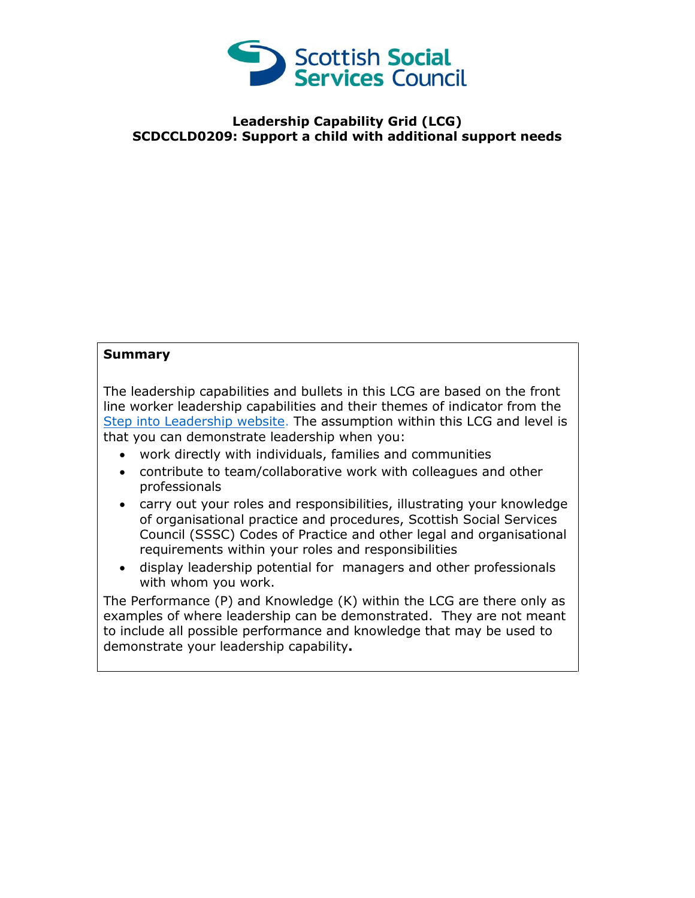

## **Leadership Capability Grid (LCG) SCDCCLD0209: Support a child with additional support needs**

## **Summary**

The leadership capabilities and bullets in this LCG are based on the front line worker leadership capabilities and their themes of indicator from the [Step into Leadership website.](http://www.stepintoleadership.info/) The assumption within this LCG and level is that you can demonstrate leadership when you:

- work directly with individuals, families and communities
- contribute to team/collaborative work with colleagues and other professionals
- carry out your roles and responsibilities, illustrating your knowledge of organisational practice and procedures, Scottish Social Services Council (SSSC) Codes of Practice and other legal and organisational requirements within your roles and responsibilities
- display leadership potential for managers and other professionals with whom you work.

The Performance (P) and Knowledge (K) within the LCG are there only as examples of where leadership can be demonstrated. They are not meant to include all possible performance and knowledge that may be used to demonstrate your leadership capability**.**